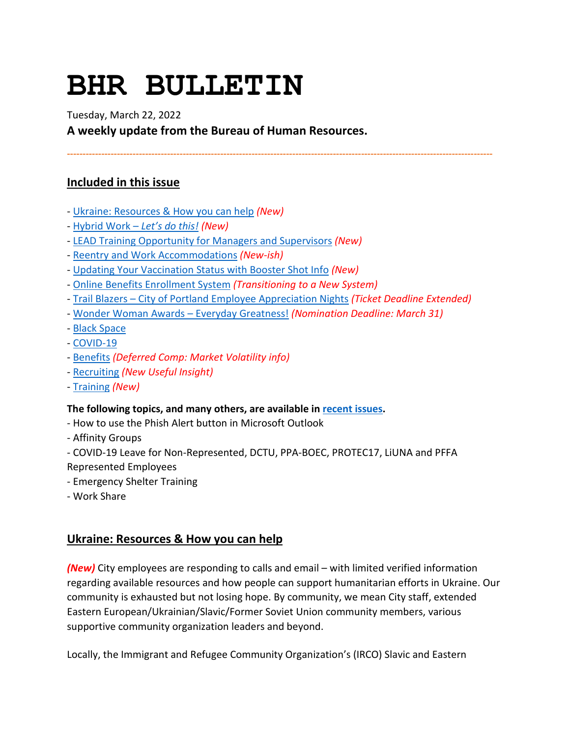# **BHR BULLETIN**

Tuesday, March 22, 2022

**A weekly update from the Bureau of Human Resources.**

**----------------------------------------------------------------------------------------------------------------------------------------**

# **Included in this issue**

- [Ukraine: Resources & How you can help](#page-0-0) *(New)*
- [Hybrid Work –](#page-1-0) *Let's do this! (New)*
- [LEAD Training Opportunity for Managers and Supervisors](#page-3-0) *(New)*
- [Reentry and Work Accommodations](#page-3-1) *(New-ish)*
- [Updating Your Vaccination Status with Booster Shot Info](#page-4-0) *(New)*
- [Online Benefits Enrollment System](#page-4-1) *(Transitioning to a New System)*
- Trail Blazers [City of Portland Employee Appreciation Nights](#page-4-2) *(Ticket Deadline Extended)*
- [Wonder Woman Awards –](#page-5-0) Everyday Greatness! *(Nomination Deadline: March 31)*
- [Black Space](#page-6-0)
- [COVID-19](#page-6-1)
- [Benefits](#page-9-0) *(Deferred Comp: Market Volatility info)*
- [Recruiting](#page-10-0) *(New Useful Insight)*
- [Training](#page-10-1) *(New)*

### **The following topics, and many others, are available i[n recent issues.](https://www.portlandoregon.gov/bhr/81102)**

- How to use the Phish Alert button in Microsoft Outlook
- Affinity Groups
- COVID-19 Leave for Non-Represented, DCTU, PPA-BOEC, PROTEC17, LiUNA and PFFA Represented Employees
- Emergency Shelter Training
- Work Share

# <span id="page-0-0"></span>**Ukraine: Resources & How you can help**

*(New)* City employees are responding to calls and email – with limited verified information regarding available resources and how people can support humanitarian efforts in Ukraine. Our community is exhausted but not losing hope. By community, we mean City staff, extended Eastern European/Ukrainian/Slavic/Former Soviet Union community members, various supportive community organization leaders and beyond.

Locally, the Immigrant and Refugee Community Organization's (IRCO) Slavic and Eastern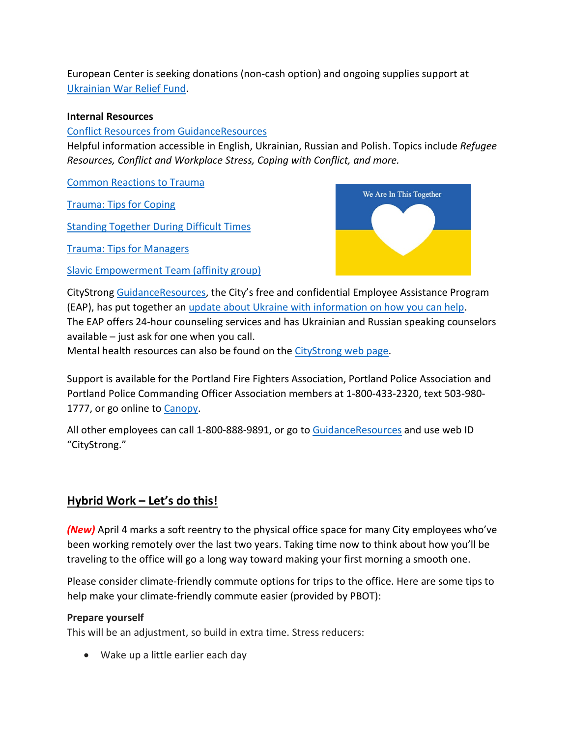European Center is seeking donations (non-cash option) and ongoing supplies support at [Ukrainian War Relief Fund.](https://irco.networkforgood.com/projects/140868-main-website-giving-page-fy21-22?utm_campaign=dms_email_blast_1773699)

### **Internal Resources**

[Conflict Resources from GuidanceResources](https://pages.e2ma.net/pages/1807892/34278)

Helpful information accessible in English, Ukrainian, Russian and Polish. Topics include *Refugee Resources, Conflict and Workplace Stress, Coping with Conflict, and more.*

[Common Reactions to Trauma](https://www.portlandoregon.gov/article/798989)

[Trauma: Tips for Coping](https://www.portlandoregon.gov/article/798991)

[Standing Together During Difficult Times](https://www.portlandoregon.gov/article/798990)

[Trauma: Tips for Managers](https://www.portlandoregon.gov/article/798992)

[Slavic Empowerment Team \(affinity group\)](https://www.portlandoregon.gov/70770)



CityStrong [GuidanceResources,](https://www.portlandoregon.gov/bhr/79288) the City's free and confidential Employee Assistance Program (EAP), has put together an [update about Ukraine with information on how you can help.](https://www.portlandoregon.gov/article/798986) The EAP offers 24-hour counseling services and has Ukrainian and Russian speaking counselors available – just ask for one when you call.

Mental health resources can also be found on th[e CityStrong web page.](https://www.portlandoregon.gov/bhr/79288)

Support is available for the Portland Fire Fighters Association, Portland Police Association and Portland Police Commanding Officer Association members at 1-800-433-2320, text 503-980- 1777, or go online to [Canopy.](https://cascadecenters.com/)

All other employees can call 1-800-888-9891, or go to [GuidanceResources](https://www.portlandoregon.gov/bhr/79288) and use web ID "CityStrong."

# <span id="page-1-0"></span>**Hybrid Work – Let's do this!**

*(New)* April 4 marks a soft reentry to the physical office space for many City employees who've been working remotely over the last two years. Taking time now to think about how you'll be traveling to the office will go a long way toward making your first morning a smooth one.

Please consider climate-friendly commute options for trips to the office. Here are some tips to help make your climate-friendly commute easier (provided by PBOT):

### **Prepare yourself**

This will be an adjustment, so build in extra time. Stress reducers:

• Wake up a little earlier each day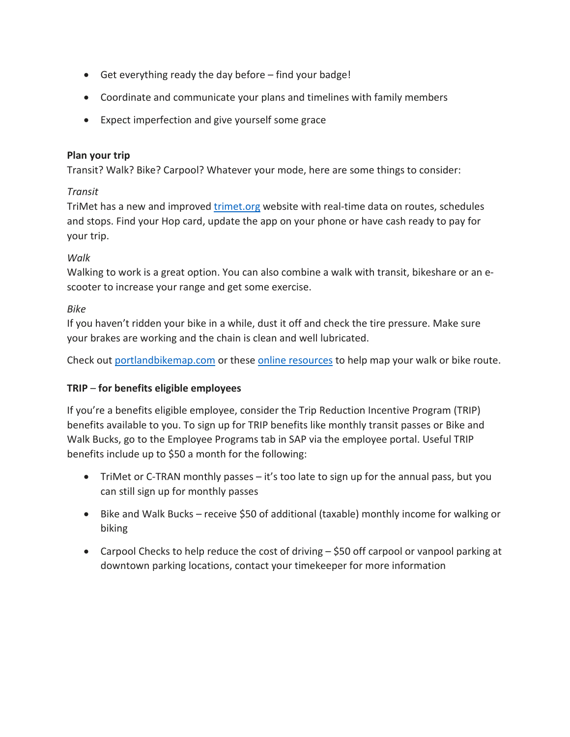- Get everything ready the day before find your badge!
- Coordinate and communicate your plans and timelines with family members
- Expect imperfection and give yourself some grace

### **Plan your trip**

Transit? Walk? Bike? Carpool? Whatever your mode, here are some things to consider:

### *Transit*

TriMet has a new and improved [trimet.org](https://trimet.org/) website with real-time data on routes, schedules and stops. Find your Hop card, update the app on your phone or have cash ready to pay for your trip.

### *Walk*

Walking to work is a great option. You can also combine a walk with transit, bikeshare or an escooter to increase your range and get some exercise.

### *Bike*

If you haven't ridden your bike in a while, dust it off and check the tire pressure. Make sure your brakes are working and the chain is clean and well lubricated.

Check out [portlandbikemap.com](https://pdx.maps.arcgis.com/apps/webappviewer/index.html?id=b51534aa6e1f4dd4ad4d83c4a084d9a6) or these [online resources](https://www.portland.gov/transportation/walking-biking-transit-safety/bike-and-walk-maps-portland) to help map your walk or bike route.

### **TRIP** – **for benefits eligible employees**

If you're a benefits eligible employee, consider the Trip Reduction Incentive Program (TRIP) benefits available to you. To sign up for TRIP benefits like monthly transit passes or Bike and Walk Bucks, go to the Employee Programs tab in SAP via the employee portal. Useful TRIP benefits include up to \$50 a month for the following:

- TriMet or C-TRAN monthly passes it's too late to sign up for the annual pass, but you can still sign up for monthly passes
- Bike and Walk Bucks receive \$50 of additional (taxable) monthly income for walking or biking
- Carpool Checks to help reduce the cost of driving \$50 off carpool or vanpool parking at downtown parking locations, contact your timekeeper for more information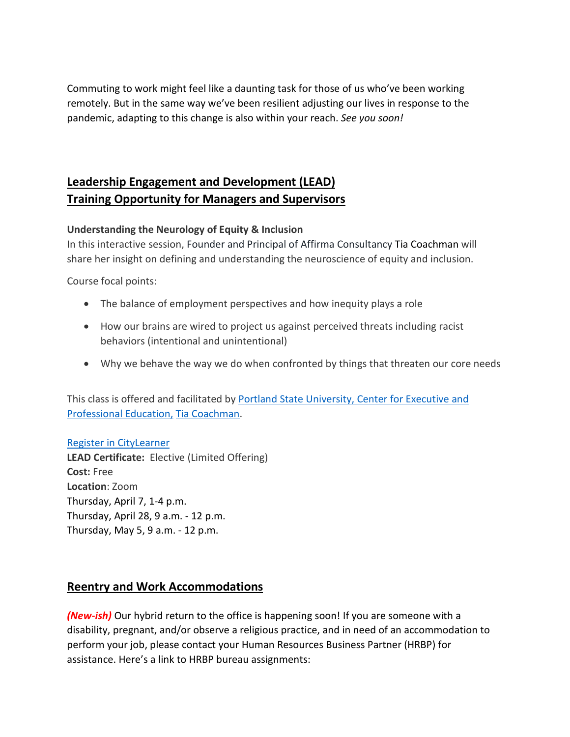Commuting to work might feel like a daunting task for those of us who've been working remotely. But in the same way we've been resilient adjusting our lives in response to the pandemic, adapting to this change is also within your reach. *See you soon!*

# <span id="page-3-0"></span>**Leadership Engagement and Development (LEAD) Training Opportunity for Managers and Supervisors**

### **Understanding the Neurology of Equity & Inclusion**

In this interactive session, Founder and Principal of Affirma Consultancy Tia Coachman will share her insight on defining and understanding the neuroscience of equity and inclusion.

Course focal points:

- The balance of employment perspectives and how inequity plays a role
- How our brains are wired to project us against perceived threats including racist behaviors (intentional and unintentional)
- Why we behave the way we do when confronted by things that threaten our core needs

This class is offered and facilitated by Portland State University, Center for Executive and [Professional Education,](https://t.e2ma.net/click/neicxi/rpl5vfb/366q4eb) [Tia Coachman.](https://www.pdx.edu/professional-education/profile/tia-coachman)

### [Register in CityLearner](https://cityofport.plateau.com/learning/user/common/viewItemDetails.do?OWASP_CSRFTOKEN=J8YN-GLY6-C8UU-OP2X-6QGM-O9BL-VFNA-Q08N&componentID=39004&componentTypeID=ILT&fromSF=Y&revisionDate=1638564360000&menuGroup=Learning&menuItem=Cur&fromDeepLink=true&hideItemDetailsBackLink=true)

**LEAD Certificate:** Elective (Limited Offering) **Cost:** Free **Location**: Zoom Thursday, April 7, 1-4 p.m. Thursday, April 28, 9 a.m. - 12 p.m. Thursday, May 5, 9 a.m. - 12 p.m.

# <span id="page-3-1"></span>**Reentry and Work Accommodations**

*(New-ish)* Our hybrid return to the office is happening soon! If you are someone with a disability, pregnant, and/or observe a religious practice, and in need of an accommodation to perform your job, please contact your Human Resources Business Partner (HRBP) for assistance. Here's a link to HRBP bureau assignments: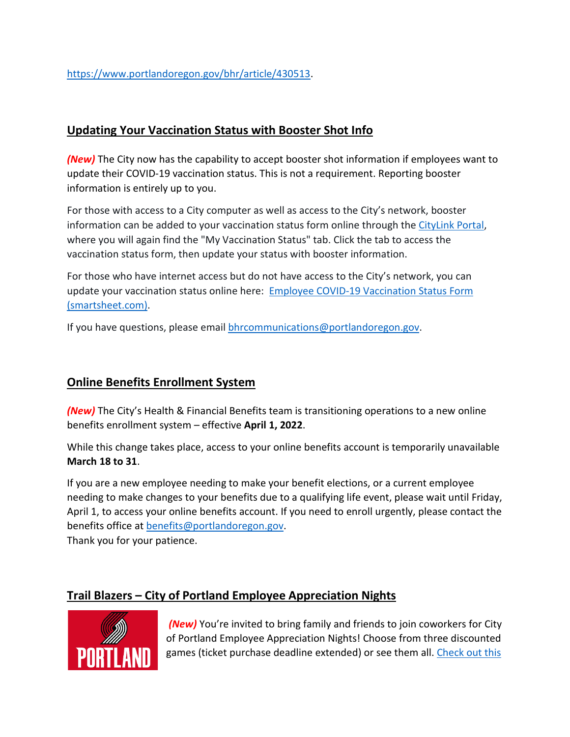[https://www.portlandoregon.gov/bhr/article/430513.](https://www.portlandoregon.gov/bhr/article/430513)

# <span id="page-4-0"></span>**Updating Your Vaccination Status with Booster Shot Info**

*(New)* The City now has the capability to accept booster shot information if employees want to update their COVID-19 vaccination status. This is not a requirement. Reporting booster information is entirely up to you.

For those with access to a City computer as well as access to the City's network, booster information can be added to your vaccination status form online through th[e CityLink Portal,](https://www.portlandoregon.gov/employee/50542) where you will again find the "My Vaccination Status" tab. Click the tab to access the vaccination status form, then update your status with booster information.

For those who have internet access but do not have access to the City's network, you can update your vaccination status online here: [Employee COVID-19 Vaccination Status Form](https://app.smartsheet.com/b/form/1630264465a1445bae728de4615f96a7)  [\(smartsheet.com\).](https://app.smartsheet.com/b/form/1630264465a1445bae728de4615f96a7)

If you have questions, please email [bhrcommunications@portlandoregon.gov.](mailto:bhrcommunications@portlandoregon.gov)

# <span id="page-4-1"></span>**Online Benefits Enrollment System**

*(New)* The City's Health & Financial Benefits team is transitioning operations to a new online benefits enrollment system – effective **April 1, 2022**.

While this change takes place, access to your online benefits account is temporarily unavailable **March 18 to 31**.

If you are a new employee needing to make your benefit elections, or a current employee needing to make changes to your benefits due to a qualifying life event, please wait until Friday, April 1, to access your online benefits account. If you need to enroll urgently, please contact the benefits office at [benefits@portlandoregon.gov.](mailto:benefits@portlandoregon.gov) Thank you for your patience.

# <span id="page-4-2"></span>**Trail Blazers – City of Portland Employee Appreciation Nights**



*(New)* You're invited to bring family and friends to join coworkers for City of Portland Employee Appreciation Nights! Choose from three discounted games (ticket purchase deadline extended) or see them all. Check out this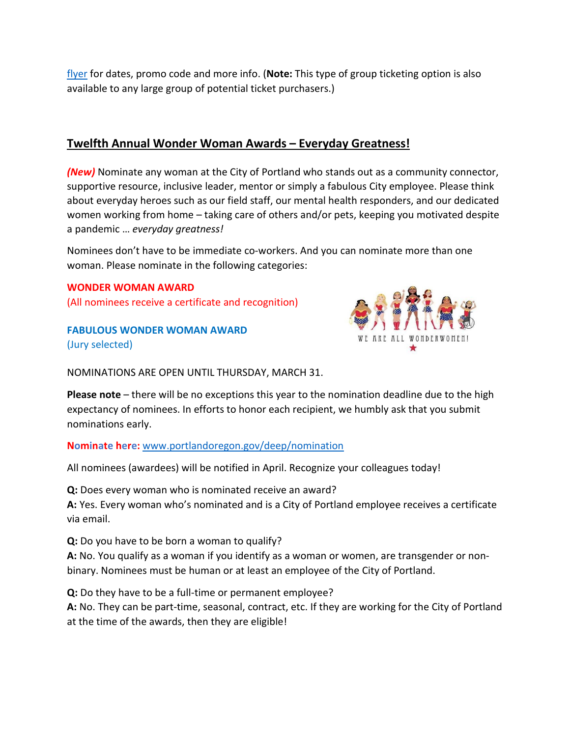[flyer](https://www.portlandoregon.gov/bhr/article/798620) for dates, promo code and more info. (**Note:** This type of group ticketing option is also available to any large group of potential ticket purchasers.)

# <span id="page-5-0"></span>**Twelfth Annual Wonder Woman Awards – Everyday Greatness!**

*(New)* Nominate any woman at the City of Portland who stands out as a community connector, supportive resource, inclusive leader, mentor or simply a fabulous City employee. Please think about everyday heroes such as our field staff, our mental health responders, and our dedicated women working from home – taking care of others and/or pets, keeping you motivated despite a pandemic … *everyday greatness!*

Nominees don't have to be immediate co-workers. And you can nominate more than one woman. Please nominate in the following categories:

### **WONDER WOMAN AWARD**

(All nominees receive a certificate and recognition)

**FABULOUS WONDER WOMAN AWARD** (Jury selected)



NOMINATIONS ARE OPEN UNTIL THURSDAY, MARCH 31.

**Please note** – there will be no exceptions this year to the nomination deadline due to the high expectancy of nominees. In efforts to honor each recipient, we humbly ask that you submit nominations early.

**Nominate here:** [www.portlandoregon.gov/deep/nomination](http://www.portlandoregon.gov/deep/nomination)

All nominees (awardees) will be notified in April. Recognize your colleagues today!

**Q:** Does every woman who is nominated receive an award?

**A:** Yes. Every woman who's nominated and is a City of Portland employee receives a certificate via email.

**Q:** Do you have to be born a woman to qualify?

**A:** No. You qualify as a woman if you identify as a woman or women, are transgender or nonbinary. Nominees must be human or at least an employee of the City of Portland.

**Q:** Do they have to be a full-time or permanent employee?

**A:** No. They can be part-time, seasonal, contract, etc. If they are working for the City of Portland at the time of the awards, then they are eligible!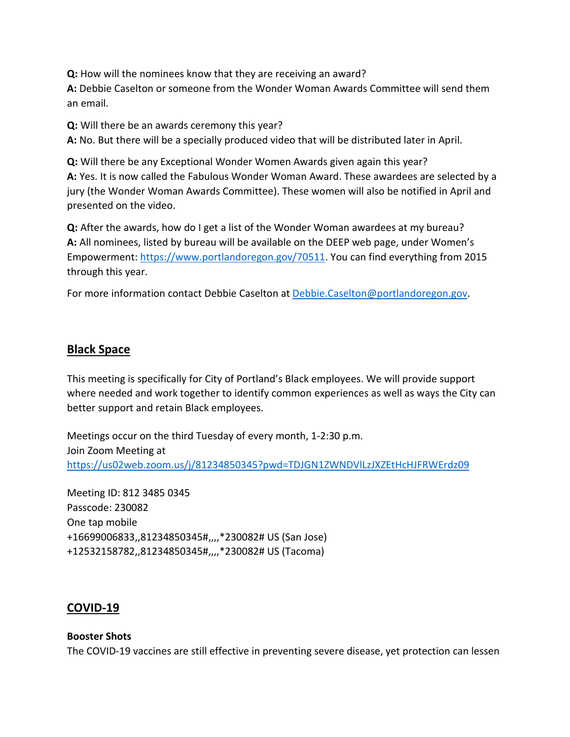**Q:** How will the nominees know that they are receiving an award? **A:** Debbie Caselton or someone from the Wonder Woman Awards Committee will send them an email.

**Q:** Will there be an awards ceremony this year?

**A:** No. But there will be a specially produced video that will be distributed later in April.

**Q:** Will there be any Exceptional Wonder Women Awards given again this year? **A:** Yes. It is now called the Fabulous Wonder Woman Award. These awardees are selected by a jury (the Wonder Woman Awards Committee). These women will also be notified in April and presented on the video.

**Q:** After the awards, how do I get a list of the Wonder Woman awardees at my bureau? **A:** All nominees, listed by bureau will be available on the DEEP web page, under Women's Empowerment[: https://www.portlandoregon.gov/70511.](https://www.portlandoregon.gov/70511) You can find everything from 2015 through this year.

For more information contact Debbie Caselton at [Debbie.Caselton@portlandoregon.gov.](mailto:Debbie.Caselton@portlandoregon.gov)

## <span id="page-6-0"></span>**Black Space**

This meeting is specifically for City of Portland's Black employees. We will provide support where needed and work together to identify common experiences as well as ways the City can better support and retain Black employees.

Meetings occur on the third Tuesday of every month, 1-2:30 p.m. Join Zoom Meeting at <https://us02web.zoom.us/j/81234850345?pwd=TDJGN1ZWNDVlLzJXZEtHcHJFRWErdz09>

Meeting ID: 812 3485 0345 Passcode: 230082 One tap mobile +16699006833,,81234850345#,,,,\*230082# US (San Jose) +12532158782,,81234850345#,,,,\*230082# US (Tacoma)

### <span id="page-6-1"></span>**COVID-19**

# **Booster Shots**

The COVID-19 vaccines are still effective in preventing severe disease, yet protection can lessen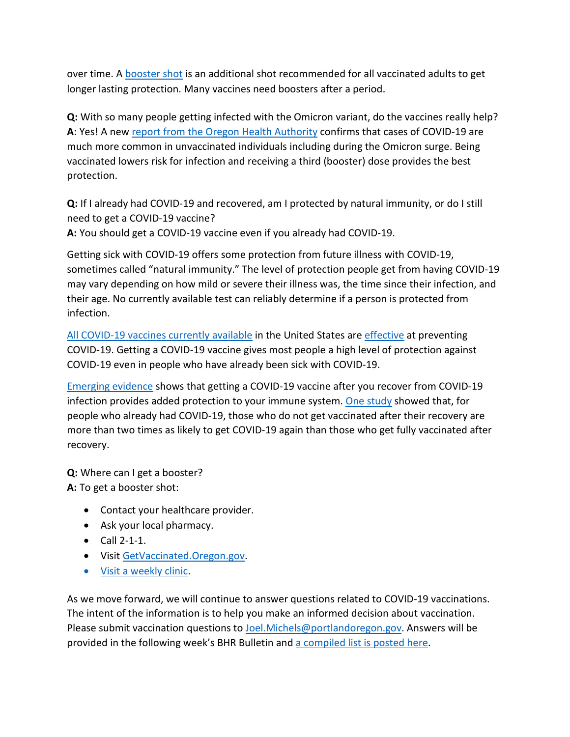over time. A [booster shot](https://www.cdc.gov/coronavirus/2019-ncov/vaccines/booster-shot.html) is an additional shot recommended for all vaccinated adults to get longer lasting protection. Many vaccines need boosters after a period.

**Q:** With so many people getting infected with the Omicron variant, do the vaccines really help? **A**: Yes! A new [report from the Oregon Health Authority](https://covidblog.oregon.gov/booster-shots-highlighted-in-new-breakthrough-case-report/?utm_medium=email&utm_source=govdelivery) confirms that cases of COVID-19 are much more common in unvaccinated individuals including during the Omicron surge. Being vaccinated lowers risk for infection and receiving a third (booster) dose provides the best protection.

**Q:** If I already had COVID-19 and recovered, am I protected by natural immunity, or do I still need to get a COVID-19 vaccine?

**A:** You should get a COVID-19 vaccine even if you already had COVID-19.

Getting sick with COVID-19 offers some protection from future illness with COVID-19, sometimes called "natural immunity." The level of protection people get from having COVID-19 may vary depending on how mild or severe their illness was, the time since their infection, and their age. No currently available test can reliably determine if a person is protected from infection.

[All COVID-19 vaccines currently available](https://www.cdc.gov/coronavirus/2019-ncov/vaccines/different-vaccines.html) in the United States ar[e effective](https://www.cdc.gov/coronavirus/2019-ncov/vaccines/effectiveness/index.html) at preventing COVID-19. Getting a COVID-19 vaccine gives most people a high level of protection against COVID-19 even in people who have already been sick with COVID-19.

[Emerging evidence](https://www.cdc.gov/coronavirus/2019-ncov/science/science-briefs/vaccine-induced-immunity.html#anchor_1635540493225) shows that getting a COVID-19 vaccine after you recover from COVID-19 infection provides added protection to your immune system. [One study](https://www.cdc.gov/mmwr/volumes/70/wr/mm7032e1.htm?s_cid=mm7032e1_e&ACSTrackingID=USCDC_921-DM63289&ACSTrackingLabel=MMWR%20Early%20Release%20-%20Vol.%2070%2C%20August%206%2C%202021&deliveryName=USCDC_921-DM63289) showed that, for people who already had COVID-19, those who do not get vaccinated after their recovery are more than two times as likely to get COVID-19 again than those who get fully vaccinated after recovery.

**Q:** Where can I get a booster?

**A:** To get a booster shot:

- Contact your healthcare provider.
- Ask your local pharmacy.
- Call 2-1-1.
- Visi[t GetVaccinated.Oregon.gov.](https://getvaccinated.oregon.gov/#/)
- [Visit a weekly clinic.](https://www.multco.us/novel-coronavirus-covid-19/upcoming-covid-19-vaccination-clinics)

As we move forward, we will continue to answer questions related to COVID-19 vaccinations. The intent of the information is to help you make an informed decision about vaccination. Please submit vaccination questions to [Joel.Michels@portlandoregon.gov.](mailto:Joel.Michels@portlandoregon.gov) Answers will be provided in the following week's BHR Bulletin an[d a compiled list is posted here.](https://www.portlandoregon.gov/bhr/article/797240)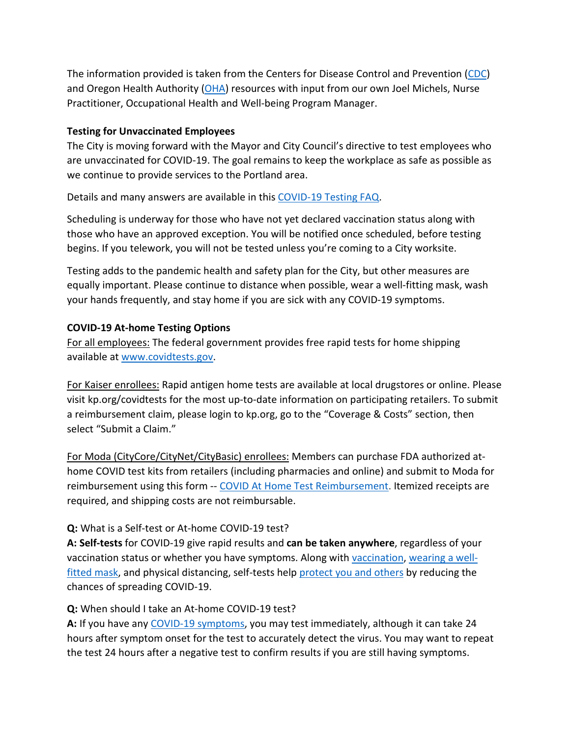The information provided is taken from the Centers for Disease Control and Prevention [\(CDC\)](https://www.cdc.gov/coronavirus/2019-ncov/vaccines/index.html) and Oregon Health Authority [\(OHA\)](https://covidvaccine.oregon.gov/) resources with input from our own Joel Michels, Nurse Practitioner, Occupational Health and Well-being Program Manager.

### **Testing for Unvaccinated Employees**

The City is moving forward with the Mayor and City Council's directive to test employees who are unvaccinated for COVID-19. The goal remains to keep the workplace as safe as possible as we continue to provide services to the Portland area.

Details and many answers are available in this [COVID-19 Testing FAQ.](https://www.portland.gov/bhr/covid-testing)

Scheduling is underway for those who have not yet declared vaccination status along with those who have an approved exception. You will be notified once scheduled, before testing begins. If you telework, you will not be tested unless you're coming to a City worksite.

Testing adds to the pandemic health and safety plan for the City, but other measures are equally important. Please continue to distance when possible, wear a well-fitting mask, wash your hands frequently, and stay home if you are sick with any COVID-19 symptoms.

# **COVID-19 At-home Testing Options**

For all employees: The federal government provides free rapid tests for home shipping available at [www.covidtests.gov.](http://www.covidtests.gov/)

For Kaiser enrollees: Rapid antigen home tests are available at local drugstores or online. Please visit kp.org/covidtests for the most up-to-date information on participating retailers. To submit a reimbursement claim, please login to kp.org, go to the "Coverage & Costs" section, then select "Submit a Claim."

For Moda (CityCore/CityNet/CityBasic) enrollees: Members can purchase FDA authorized athome COVID test kits from retailers (including pharmacies and online) and submit to Moda for reimbursement using this form -- [COVID At Home Test Reimbursement.](https://www.modahealth.com/-/media/modahealth/site/shared/forms/ModaHealth-OTC-COVID-19-AtHomeTest-Medical-MemberReimbursementForm.pdf) Itemized receipts are required, and shipping costs are not reimbursable.

# **Q:** What is a Self-test or At-home COVID-19 test?

**A: Self-tests** for COVID-19 give rapid results and **can be taken anywhere**, regardless of your vaccination status or whether you have symptoms. Along with [vaccination,](https://www.cdc.gov/coronavirus/2019-ncov/vaccines/your-vaccination.html) [wearing a well](https://www.cdc.gov/coronavirus/2019-ncov/prevent-getting-sick/masks.html)[fitted mask,](https://www.cdc.gov/coronavirus/2019-ncov/prevent-getting-sick/masks.html) and physical distancing, self-tests help [protect you and others](https://www.cdc.gov/coronavirus/2019-ncov/prevent-getting-sick/prevention.html) by reducing the chances of spreading COVID-19.

# **Q:** When should I take an At-home COVID-19 test?

**A:** If you have any [COVID-19 symptoms,](https://www.cdc.gov/coronavirus/2019-ncov/symptoms-testing/symptoms.html) you may test immediately, although it can take 24 hours after symptom onset for the test to accurately detect the virus. You may want to repeat the test 24 hours after a negative test to confirm results if you are still having symptoms.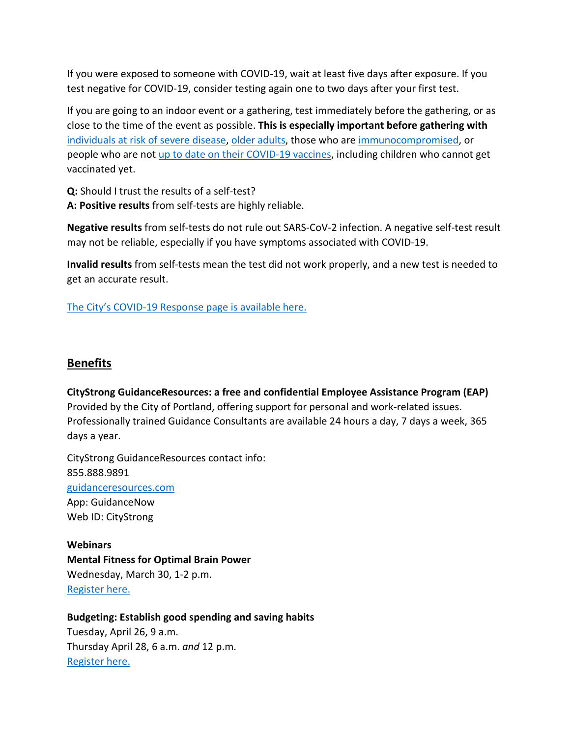If you were exposed to someone with COVID-19, wait at least five days after exposure. If you test negative for COVID-19, consider testing again one to two days after your first test.

If you are going to an indoor event or a gathering, test immediately before the gathering, or as close to the time of the event as possible. **This is especially important before gathering with** [individuals at risk of severe disease,](https://www.cdc.gov/coronavirus/2019-ncov/need-extra-precautions/people-with-medical-conditions.html) [older adults,](https://www.cdc.gov/aging/covid19/covid19-older-adults.html) those who are [immunocompromised,](https://www.cdc.gov/coronavirus/2019-ncov/need-extra-precautions/people-with-medical-conditions.html#MedicalConditionsAdults) or people who are not [up to date on their COVID-19 vaccines,](https://www.cdc.gov/coronavirus/2019-ncov/vaccines/stay-up-to-date.html) including children who cannot get vaccinated yet.

**Q:** Should I trust the results of a self-test?

**A: Positive results** from self-tests are highly reliable.

**Negative results** from self-tests do not rule out SARS-CoV-2 infection. A negative self-test result may not be reliable, especially if you have symptoms associated with COVID-19.

**Invalid results** from self-tests mean the test did not work properly, and a new test is needed to get an accurate result.

[The City's COVID-19 Response page is available here.](https://www.portlandoregon.gov/bhr/index.cfm?&c=81055)

# <span id="page-9-0"></span>**Benefits**

**CityStrong GuidanceResources: a free and confidential Employee Assistance Program (EAP)**  Provided by the City of Portland, offering support for personal and work-related issues. Professionally trained Guidance Consultants are available 24 hours a day, 7 days a week, 365 days a year.

CityStrong GuidanceResources contact info: 855.888.9891 [guidanceresources.com](https://www.guidanceresources.com/groWeb/login/login.xhtml) App: GuidanceNow Web ID: CityStrong

**Webinars Mental Fitness for Optimal Brain Power**  Wednesday, March 30, 1-2 p.m. [Register here.](https://us06web.zoom.us/webinar/register/WN_BYyBBbVuQWufZ2Mx0Pw_ZA)

# **Budgeting: Establish good spending and saving habits**

Tuesday, April 26, 9 a.m. Thursday April 28, 6 a.m. *and* 12 p.m. [Register here.](https://voyafa.zoom.us/webinar/register/WN_jalwtC9vQGa3Bf00BMP-Pw)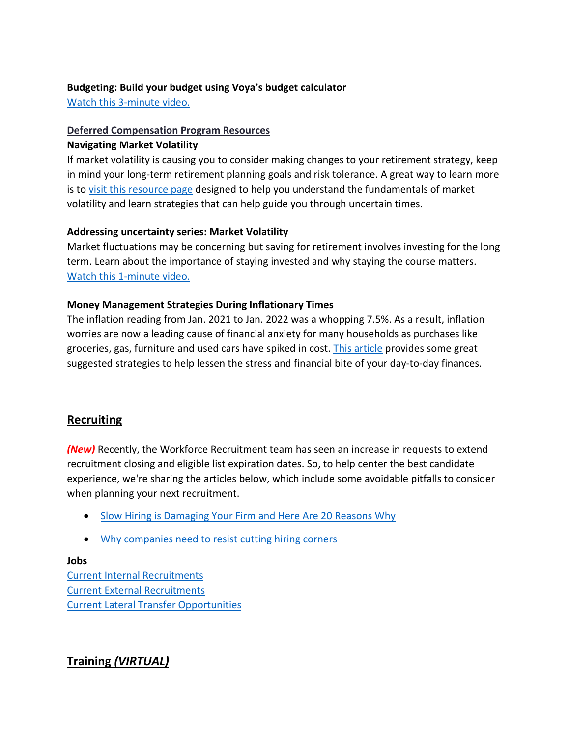### **Budgeting: Build your budget using Voya's budget calculator**

[Watch this 3-minute video.](https://www.voya.com/page/on-demand/budget-calculator)

# **Deferred Compensation Program Resources**

### **Navigating Market Volatility**

If market volatility is causing you to consider making changes to your retirement strategy, keep in mind your long-term retirement planning goals and risk tolerance. A great way to learn more is to [visit this resource page](https://www.voya.com/page/navigating-market-volatility) designed to help you understand the fundamentals of market volatility and learn strategies that can help guide you through uncertain times.

## **Addressing uncertainty series: Market Volatility**

Market fluctuations may be concerning but saving for retirement involves investing for the long term. Learn about the importance of staying invested and why staying the course matters. [Watch this 1-minute video.](https://www.voya.com/page/on-demand/addressing-uncertainty-series-market-volatility)

## **Money Management Strategies During Inflationary Times**

The inflation reading from Jan. 2021 to Jan. 2022 was a whopping 7.5%. As a result, inflation worries are now a leading cause of financial anxiety for many households as purchases like groceries, gas, furniture and used cars have spiked in cost. [This article](https://blog.voya.com/financial-decisions/money-management-strategies-during-inflationary-times-nc) provides some great suggested strategies to help lessen the stress and financial bite of your day-to-day finances.

# <span id="page-10-0"></span>**Recruiting**

*(New)* Recently, the Workforce Recruitment team has seen an increase in requests to extend recruitment closing and eligible list expiration dates. So, to help center the best candidate experience, we're sharing the articles below, which include some avoidable pitfalls to consider when planning your next recruitment.

- [Slow Hiring is Damaging Your Firm and Here Are 20 Reasons Why](https://www.ere.net/slow-hiring-is-damaging-your-firm-and-here-are-20-reasons-why/)
- [Why companies need to resist cutting hiring corners](https://www.tlnt.com/151847-2/?utm_campaign=TLNT%20Daily%20Newsletter&utm_medium=email&_hsmi=207130916&_hsenc=p2ANqtz-8F7s-OKTsdOTdoZGUiASWVZF11aHdUxInGFQg7XBA1CJHNzYyjzlcU-X9a-JjUsbTRV7buF1qeGXXhf6rypLarzYqu2buxXsSHlfHjHbfRXrwZBhg&utm_content=207130916&utm_source=hs_email)

# **Jobs**

[Current Internal Recruitments](https://www.governmentjobs.com/careers/portlandor/promotionaljobs) [Current External Recruitments](https://www.governmentjobs.com/careers/portlandor?) [Current Lateral Transfer Opportunities](https://www.governmentjobs.com/careers/portlandor/transferjobs)

# <span id="page-10-1"></span>**Training** *(VIRTUAL)*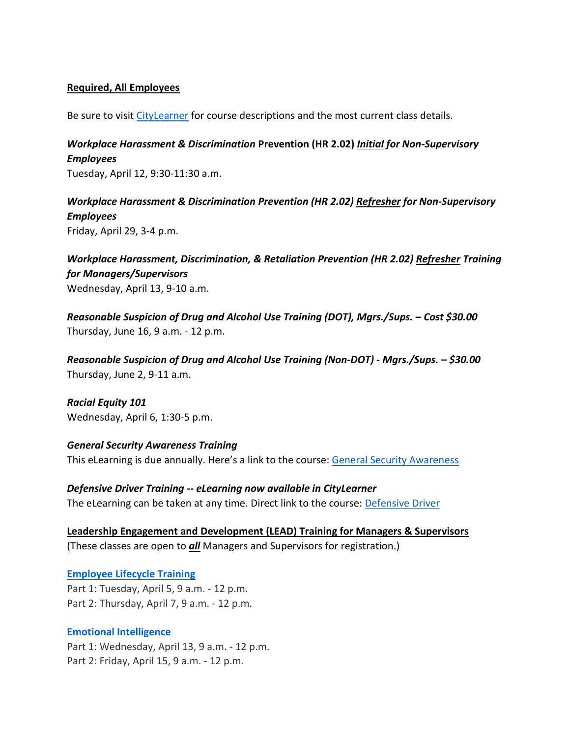### **Required, All Employees**

Be sure to visit [CityLearner](https://www.portlandoregon.gov/sf) for course descriptions and the most current class details.

*Workplace Harassment & Discrimination* **Prevention (HR 2.02)** *Initial for Non-Supervisory Employees*

Tuesday, April 12, 9:30-11:30 a.m.

*Workplace Harassment & Discrimination Prevention (HR 2.02) Refresher for Non-Supervisory Employees* Friday, April 29, 3-4 p.m.

*Workplace Harassment, Discrimination, & Retaliation Prevention (HR 2.02) Refresher Training for Managers/Supervisors*  Wednesday, April 13, 9-10 a.m.

*Reasonable Suspicion of Drug and Alcohol Use Training (DOT), Mgrs./Sups. – Cost \$30.00* Thursday, June 16, 9 a.m. - 12 p.m.

*Reasonable Suspicion of Drug and Alcohol Use Training (Non-DOT) - Mgrs./Sups. – \$30.00* Thursday, June 2, 9-11 a.m.

*Racial Equity 101* Wednesday, April 6, 1:30-5 p.m.

*General Security Awareness Training* This eLearning is due annually. Here's a link to the course: [General Security Awareness](https://performancemanager4.successfactors.com/sf/learning?destUrl=https%3a%2f%2fcityofport%2eplateau%2ecom%2flearning%2fuser%2fdeeplink%5fredirect%2ejsp%3flinkId%3dITEM%5fDETAILS%26componentID%3dLMS61011035%26componentTypeID%3dELRN%26revisionDate%3d1638978720000%26fromSF%3dY&company=cityofport) 

*Defensive Driver Training -- eLearning now available in CityLearner* The eLearning can be taken at any time. Direct link to the course: [Defensive Driver](https://cityofport.plateau.com/learning/user/common/viewItemDetails.do?OWASP_CSRFTOKEN=5M1O-5ANN-0TLU-3QOL-OISM-MYFY-1V3A-L7M9&componentID=LMS61011177&componentTypeID=ELRN&fromSF=Y&revisionDate=1607576040000&menuGroup=Learning&menuItem=Cur&fromDeepLink=true&hideItemDetailsBackLink=true)

**Leadership Engagement and Development (LEAD) Training for Managers & Supervisors** (These classes are open to *all* Managers and Supervisors for registration.)

**[Employee Lifecycle Training](https://performancemanager4.successfactors.com/sf/learning?destUrl=https%3a%2f%2fcityofport%2eplateau%2ecom%2flearning%2fuser%2fdeeplink%5fredirect%2ejsp%3flinkId%3dITEM%5fDETAILS%26componentID%3d29001%26componentTypeID%3dILT%26revisionDate%3d1618421220000%26fromSF%3dY&company=cityofport)** Part 1: Tuesday, April 5, 9 a.m. - 12 p.m. Part 2: Thursday, April 7, 9 a.m. - 12 p.m.

### **[Emotional Intelligence](https://performancemanager4.successfactors.com/sf/learning?destUrl=https%3a%2f%2fcityofport%2eplateau%2ecom%2flearning%2fuser%2fdeeplink%5fredirect%2ejsp%3flinkId%3dITEM%5fDETAILS%26componentID%3d29034%26componentTypeID%3dILT%26revisionDate%3d1621278240000%26fromSF%3dY&company=cityofport)**

Part 1: Wednesday, April 13, 9 a.m. - 12 p.m. Part 2: Friday, April 15, 9 a.m. - 12 p.m.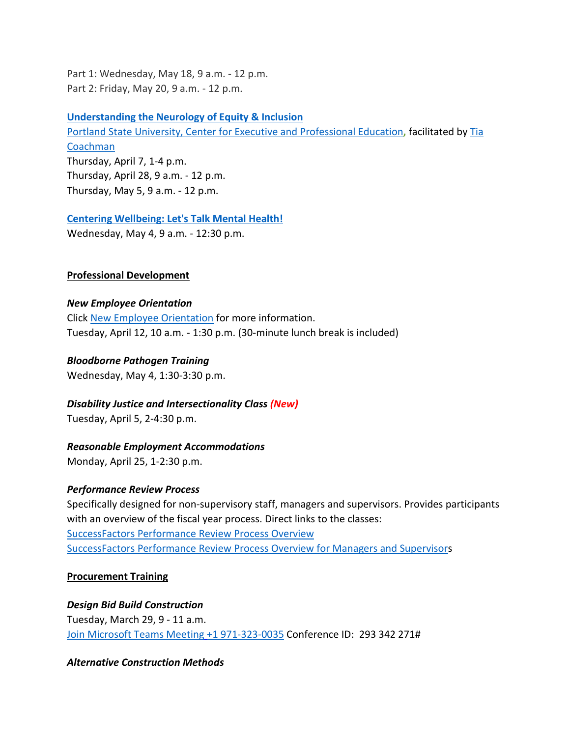Part 1: Wednesday, May 18, 9 a.m. - 12 p.m. Part 2: Friday, May 20, 9 a.m. - 12 p.m.

**[Understanding the Neurology of Equity & Inclusion](https://performancemanager4.successfactors.com/sf/learning?destUrl=https%3a%2f%2fcityofport%2eplateau%2ecom%2flearning%2fuser%2fdeeplink%5fredirect%2ejsp%3flinkId%3dITEM%5fDETAILS%26componentID%3d39004%26componentTypeID%3dILT%26revisionDate%3d1638564360000%26fromSF%3dY&company=cityofport)** [Portland State University, Center for Executive and Professional Education](https://www.pdx.edu/professional-education/)**,** facilitated by [Tia](https://www.pdx.edu/professional-education/profile/tia-coachman)  [Coachman](https://www.pdx.edu/professional-education/profile/tia-coachman)  Thursday, April 7, 1-4 p.m. Thursday, April 28, 9 a.m. - 12 p.m. Thursday, May 5, 9 a.m. - 12 p.m.

**[Centering Wellbeing: Let's Talk Mental Health!](https://performancemanager4.successfactors.com/sf/learning?destUrl=https%3a%2f%2fcityofport%2eplateau%2ecom%2flearning%2fuser%2fdeeplink%5fredirect%2ejsp%3flinkId%3dITEM%5fDETAILS%26componentID%3d30004%26componentTypeID%3dILT%26revisionDate%3d1625183220000%26fromSF%3dY&company=cityofport)**

Wednesday, May 4, 9 a.m. - 12:30 p.m.

### **Professional Development**

#### *New Employee Orientation*

Click [New Employee Orientation](https://www.portlandoregon.gov/bhr/77721) for more information. Tuesday, April 12, 10 a.m. - 1:30 p.m. (30-minute lunch break is included)

### *Bloodborne Pathogen Training*

Wednesday, May 4, 1:30-3:30 p.m.

### *Disability Justice and Intersectionality Class (New)*

Tuesday, April 5, 2-4:30 p.m.

#### *Reasonable Employment Accommodations*

Monday, April 25, 1-2:30 p.m.

### *Performance Review Process*

Specifically designed for non-supervisory staff, managers and supervisors. Provides participants with an overview of the fiscal year process. Direct links to the classes: [SuccessFactors Performance Review Process Overview](https://cityofport.plateau.com/learning/user/common/viewItemDetails.do?OWASP_CSRFTOKEN=DU90-LX7U-MJFA-R3RR-74UK-2I97-WO9L-P1RW&componentID=29037&componentTypeID=ELRN&fromSF=Y&revisionDate=1621295700000&menuGroup=Learning&menuItem=Cur&fromDeepLink=true&hideItemDetailsBackLink=true)  [SuccessFactors Performance Review Process Overview for Managers and Supervisors](https://sts.portlandoregon.gov/adfs/ls/?SAMLRequest=hZJPb9swDMW%2FisC7bUVL61SIU2QLigXYH7fxethlUGU6FSBLnig367ev7aRbd0mv0iPf449cXv9pLXvCQMa7AmYpB4ZO%2B9q4fQE%2FqptkAderJanWik6u%2B%2Fjo7vB3jxTZUOhIHn8K6IOTXpEh6VSLJKOWu%2FXXL1KkXHbBR6%2B9BbYZCo1TcTJ7jLEjmWUUKe18iFa52gfce5fu%2FVOm6oYySxmwGx80Tt4FNMoSAttuCvg1V3n90OirZJZ%2FwGTeIE%2BuLgRPxEWuZwKV5vnlICXqcesoKhcLEFyIhItELKpZLvlc8stULPhPYOUp5UfjjtOfG%2BnhKCL5uarKpPy%2Bq4Ddv1IcBHBiJif38BbW%2BcaKCMPIB1avfA6HQ0q91kjUKB19oFT7NtMmPvtmBLfM3nr93da3ofl2U3pr9DNbW%2BsPnwKqiAXE0OOEtVXxfJzxxdRJM0llN05IEV0EtivH%2Fre9sqYxGP6t8924kK1Oif%2B%2FqNUL&RelayState=%2Fsf%2Flearning%3FdestUrl%3Dhttps%253a%252f%252fcityofport%252eplateau%252ecom%252flearning%252fuser%252fdeeplink%255fredirect%252ejsp%253flinkId%253dITEM%255fDETAILS%2526componentID%253d29040%2526componentTypeID%253dELRN%2526revisionDate%253d1621298220000%2526fromSF%253dY&SigAlg=http%3A%2F%2Fwww.w3.org%2F2000%2F09%2Fxmldsig%23rsa-sha1&Signature=Nh05m6BdIM%2FxvyYo0XGgvYRymZoYM8duNho3YqhMrhB7dt0AJszl8HP9tMyr1Rm970uBY8qN1OK2VQ1DitXtL9X5kz06hi1lh1qU%2BNQBVJv%2F2mbWdoqb58FMYKiqv97cu9yMld0iUdw6Mkp%2FB1rVy%2F6nxhm7IUmo9suGPepTh6k%3D)

### **Procurement Training**

## *Design Bid Build Construction* Tuesday, March 29, 9 - 11 a.m. [Join Microsoft Teams Meeting](https://teams.microsoft.com/l/meetup-join/19%3ameeting_NjIxOTQ5ZjAtMGMzYi00ODQ1LWIwMjQtNjU4Yjg4YzFkOTY5%40thread.v2/0?context=%7b%22Tid%22%3a%22636d7808-73c9-41a7-97aa-8c4733642141%22%2c%22Oid%22%3a%2286b2ae6e-2fe6-44ca-9974-4b60b2e2cd99%22%7d) [+1 971-323-0035](tel:+19713230035,,293342271) Conference ID: 293 342 271#

### *Alternative Construction Methods*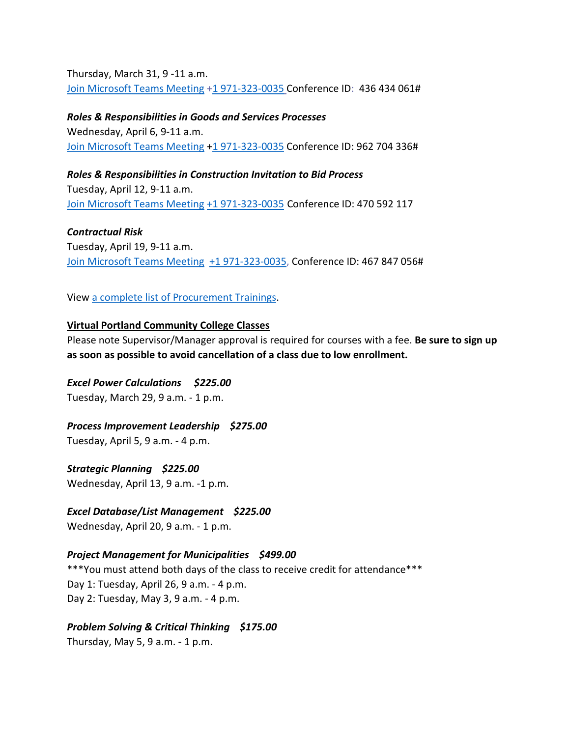Thursday, March 31, 9 -11 a.m. [Join Microsoft Teams Meeting](https://teams.microsoft.com/l/meetup-join/19%3ameeting_ZjhkNmE5Y2EtODgyZS00NGQ4LTkxZGEtMDY1ZTE4YzdlYmZh%40thread.v2/0?context=%7b%22Tid%22%3a%22636d7808-73c9-41a7-97aa-8c4733642141%22%2c%22Oid%22%3a%2286b2ae6e-2fe6-44ca-9974-4b60b2e2cd99%22%7d) [+1 971-323-0035](tel:+19713230035,,436434061) Conference ID: 436 434 061#

*Roles & Responsibilities in Goods and Services Processes*  Wednesday, April 6, 9-11 a.m. [Join Microsoft Teams Meeting](https://teams.microsoft.com/l/meetup-join/19%3ameeting_NTA0NzYwY2ItNTU1MS00MTA0LWE1ZWItZjZlODdmOTJmZmMw%40thread.v2/0?context=%7b%22Tid%22%3a%22636d7808-73c9-41a7-97aa-8c4733642141%22%2c%22Oid%22%3a%2286b2ae6e-2fe6-44ca-9974-4b60b2e2cd99%22%7d) [+1 971-323-0035](tel:+19713230035,,962704336) Conference ID: 962 704 336#

*Roles & Responsibilities in Construction Invitation to Bid Process* Tuesday, April 12, 9-11 a.m. [Join Microsoft Teams Meeting](https://teams.microsoft.com/l/meetup-join/19%3ameeting_ZTQzMjRmNzUtYjc3Yi00YzM4LTlmYjEtOGIyNWYzMWVhODZi%40thread.v2/0?context=%7b%22Tid%22%3a%22636d7808-73c9-41a7-97aa-8c4733642141%22%2c%22Oid%22%3a%2286b2ae6e-2fe6-44ca-9974-4b60b2e2cd99%22%7d) [+1 971-323-0035](tel:+19713230035,,470592117) Conference ID: 470 592 117

*Contractual Risk* Tuesday, April 19, 9-11 a.m. [Join Microsoft Teams Meeting](https://teams.microsoft.com/l/meetup-join/19%3ameeting_ZjhkNmE5Y2EtODgyZS00NGQ4LTkxZGEtMDY1ZTE4YzdlYmZh%40thread.v2/0?context=%7b%22Tid%22%3a%22636d7808-73c9-41a7-97aa-8c4733642141%22%2c%22Oid%22%3a%2286b2ae6e-2fe6-44ca-9974-4b60b2e2cd99%22%7d) [+1 971-323-0035,](tel:+19713230035,,467847056) Conference ID: 467 847 056#

View [a complete list of Procurement Trainings.](https://www.portlandoregon.gov/brfs/article/780678)

### **Virtual Portland Community College Classes**

Please note Supervisor/Manager approval is required for courses with a fee. **Be sure to sign up as soon as possible to avoid cancellation of a class due to low enrollment.**

### *Excel Power Calculations \$225.00*

Tuesday, March 29, 9 a.m. - 1 p.m.

### *Process Improvement Leadership \$275.00*

Tuesday, April 5, 9 a.m. - 4 p.m.

*Strategic Planning \$225.00* Wednesday, April 13, 9 a.m. -1 p.m.

### *Excel Database/List Management \$225.00*

Wednesday, April 20, 9 a.m. - 1 p.m.

### *Project Management for Municipalities \$499.00*

\*\*\*You must attend both days of the class to receive credit for attendance\*\*\* Day 1: Tuesday, April 26, 9 a.m. - 4 p.m. Day 2: Tuesday, May 3, 9 a.m. - 4 p.m.

# *Problem Solving & Critical Thinking \$175.00*

Thursday, May 5, 9 a.m. - 1 p.m.